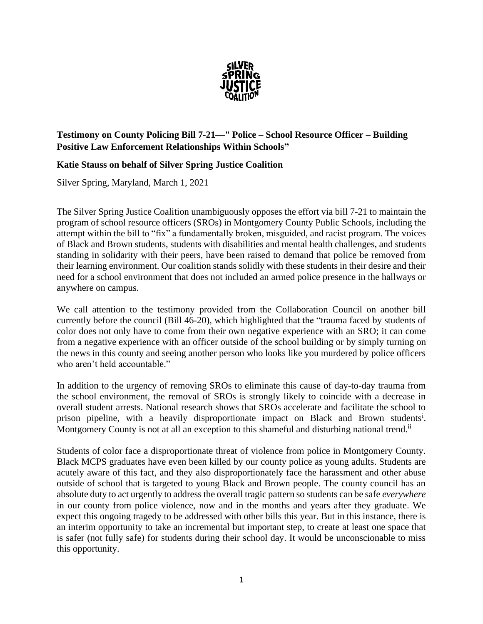

## **Testimony on County Policing Bill 7-21—" Police – School Resource Officer – Building Positive Law Enforcement Relationships Within Schools"**

## **Katie Stauss on behalf of Silver Spring Justice Coalition**

Silver Spring, Maryland, March 1, 2021

The Silver Spring Justice Coalition unambiguously opposes the effort via bill 7-21 to maintain the program of school resource officers (SROs) in Montgomery County Public Schools, including the attempt within the bill to "fix" a fundamentally broken, misguided, and racist program. The voices of Black and Brown students, students with disabilities and mental health challenges, and students standing in solidarity with their peers, have been raised to demand that police be removed from their learning environment. Our coalition stands solidly with these students in their desire and their need for a school environment that does not included an armed police presence in the hallways or anywhere on campus.

We call attention to the testimony provided from the Collaboration Council on another bill currently before the council (Bill 46-20), which highlighted that the "trauma faced by students of color does not only have to come from their own negative experience with an SRO; it can come from a negative experience with an officer outside of the school building or by simply turning on the news in this county and seeing another person who looks like you murdered by police officers who aren't held accountable."

In addition to the urgency of removing SROs to eliminate this cause of day-to-day trauma from the school environment, the removal of SROs is strongly likely to coincide with a decrease in overall student arrests. National research shows that SROs accelerate and facilitate the school to prison pipeline, with a heavily disproportionate impact on Black and Brown students<sup>i</sup>. Montgomery County is not at all an exception to this shameful and disturbing national trend.<sup>ii</sup>

Students of color face a disproportionate threat of violence from police in Montgomery County. Black MCPS graduates have even been killed by our county police as young adults. Students are acutely aware of this fact, and they also disproportionately face the harassment and other abuse outside of school that is targeted to young Black and Brown people. The county council has an absolute duty to act urgently to address the overall tragic pattern so students can be safe *everywhere* in our county from police violence, now and in the months and years after they graduate. We expect this ongoing tragedy to be addressed with other bills this year. But in this instance, there is an interim opportunity to take an incremental but important step, to create at least one space that is safer (not fully safe) for students during their school day. It would be unconscionable to miss this opportunity.